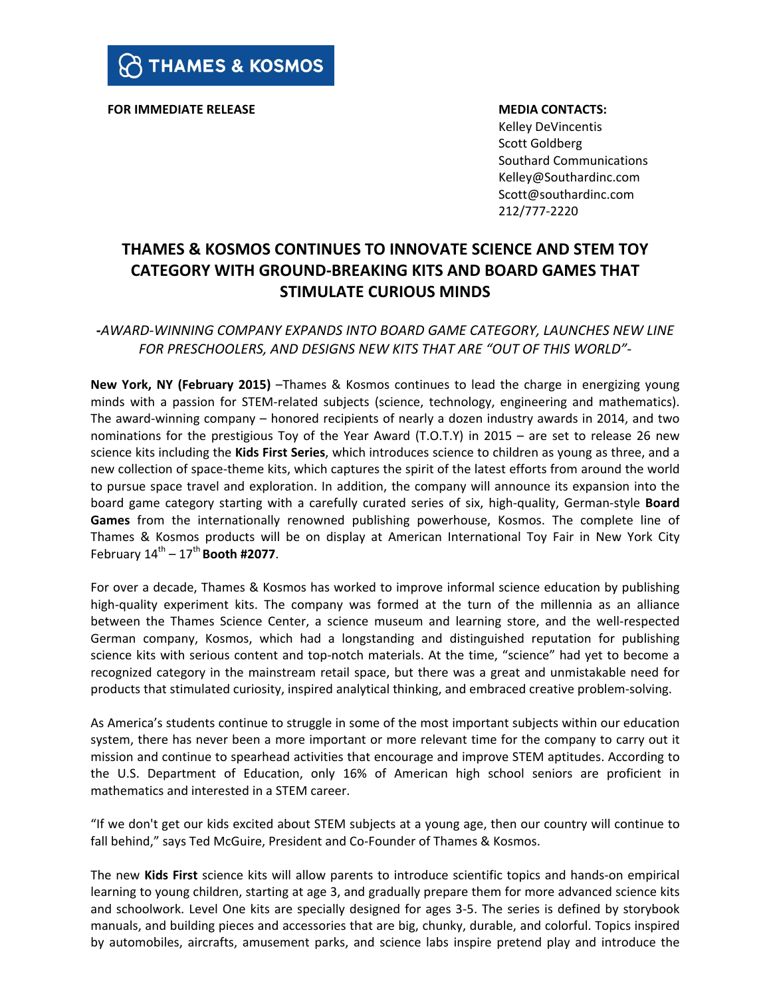**FOR IMMEDIATE RELEASE THE SECONTACTS:** 

Kelley DeVincentis Scott Goldberg Southard Communications Kelley@Southardinc.com Scott@southardinc.com 212/777-2220 

# **THAMES & KOSMOS CONTINUES TO INNOVATE SCIENCE AND STEM TOY CATEGORY WITH GROUND-BREAKING KITS AND BOARD GAMES THAT STIMULATE CURIOUS MINDS**

## **-***AWARD-WINNING COMPANY EXPANDS INTO BOARD GAME CATEGORY, LAUNCHES NEW LINE* FOR PRESCHOOLERS, AND DESIGNS NEW KITS THAT ARE "OUT OF THIS WORLD"-

**New York, NY (February 2015) –Thames & Kosmos continues to lead the charge in energizing young** minds with a passion for STEM-related subjects (science, technology, engineering and mathematics). The award-winning company  $-$  honored recipients of nearly a dozen industry awards in 2014, and two nominations for the prestigious Toy of the Year Award (T.O.T.Y) in 2015 – are set to release 26 new science kits including the **Kids First Series**, which introduces science to children as young as three, and a new collection of space-theme kits, which captures the spirit of the latest efforts from around the world to pursue space travel and exploration. In addition, the company will announce its expansion into the board game category starting with a carefully curated series of six, high-quality, German-style **Board** Games from the internationally renowned publishing powerhouse, Kosmos. The complete line of Thames & Kosmos products will be on display at American International Toy Fair in New York City February  $14^{\text{th}} - 17^{\text{th}}$  **Booth #2077.** 

For over a decade, Thames & Kosmos has worked to improve informal science education by publishing high-quality experiment kits. The company was formed at the turn of the millennia as an alliance between the Thames Science Center, a science museum and learning store, and the well-respected German company, Kosmos, which had a longstanding and distinguished reputation for publishing science kits with serious content and top-notch materials. At the time, "science" had yet to become a recognized category in the mainstream retail space, but there was a great and unmistakable need for products that stimulated curiosity, inspired analytical thinking, and embraced creative problem-solving.

As America's students continue to struggle in some of the most important subjects within our education system, there has never been a more important or more relevant time for the company to carry out it mission and continue to spearhead activities that encourage and improve STEM aptitudes. According to the U.S. Department of Education, only 16% of American high school seniors are proficient in mathematics and interested in a STEM career.

"If we don't get our kids excited about STEM subjects at a young age, then our country will continue to fall behind," says Ted McGuire, President and Co-Founder of Thames & Kosmos.

The new Kids First science kits will allow parents to introduce scientific topics and hands-on empirical learning to young children, starting at age 3, and gradually prepare them for more advanced science kits and schoolwork. Level One kits are specially designed for ages 3-5. The series is defined by storybook manuals, and building pieces and accessories that are big, chunky, durable, and colorful. Topics inspired by automobiles, aircrafts, amusement parks, and science labs inspire pretend play and introduce the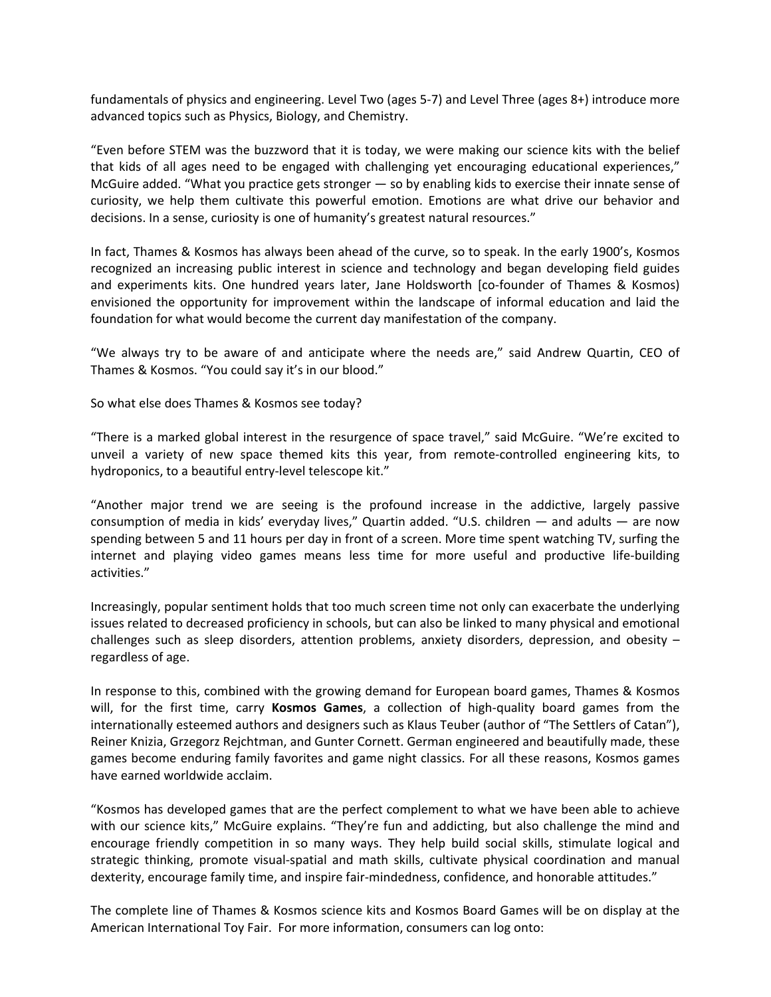fundamentals of physics and engineering. Level Two (ages 5-7) and Level Three (ages 8+) introduce more advanced topics such as Physics, Biology, and Chemistry.

"Even before STEM was the buzzword that it is today, we were making our science kits with the belief that kids of all ages need to be engaged with challenging yet encouraging educational experiences," McGuire added. "What you practice gets stronger  $-$  so by enabling kids to exercise their innate sense of curiosity, we help them cultivate this powerful emotion. Emotions are what drive our behavior and decisions. In a sense, curiosity is one of humanity's greatest natural resources."

In fact, Thames & Kosmos has always been ahead of the curve, so to speak. In the early 1900's, Kosmos recognized an increasing public interest in science and technology and began developing field guides and experiments kits. One hundred years later, Jane Holdsworth [co-founder of Thames & Kosmos) envisioned the opportunity for improvement within the landscape of informal education and laid the foundation for what would become the current day manifestation of the company.

"We always try to be aware of and anticipate where the needs are," said Andrew Quartin, CEO of Thames & Kosmos. "You could say it's in our blood."

So what else does Thames & Kosmos see today?

"There is a marked global interest in the resurgence of space travel," said McGuire. "We're excited to unveil a variety of new space themed kits this year, from remote-controlled engineering kits, to hydroponics, to a beautiful entry-level telescope kit."

"Another major trend we are seeing is the profound increase in the addictive, largely passive consumption of media in kids' everyday lives," Quartin added. "U.S. children  $-$  and adults  $-$  are now spending between 5 and 11 hours per day in front of a screen. More time spent watching TV, surfing the internet and playing video games means less time for more useful and productive life-building activities."

Increasingly, popular sentiment holds that too much screen time not only can exacerbate the underlying issues related to decreased proficiency in schools, but can also be linked to many physical and emotional challenges such as sleep disorders, attention problems, anxiety disorders, depression, and obesity  $$ regardless of age.

In response to this, combined with the growing demand for European board games, Thames & Kosmos will, for the first time, carry **Kosmos Games**, a collection of high-quality board games from the internationally esteemed authors and designers such as Klaus Teuber (author of "The Settlers of Catan"), Reiner Knizia, Grzegorz Rejchtman, and Gunter Cornett. German engineered and beautifully made, these games become enduring family favorites and game night classics. For all these reasons, Kosmos games have earned worldwide acclaim.

"Kosmos has developed games that are the perfect complement to what we have been able to achieve with our science kits," McGuire explains. "They're fun and addicting, but also challenge the mind and encourage friendly competition in so many ways. They help build social skills, stimulate logical and strategic thinking, promote visual-spatial and math skills, cultivate physical coordination and manual dexterity, encourage family time, and inspire fair-mindedness, confidence, and honorable attitudes."

The complete line of Thames & Kosmos science kits and Kosmos Board Games will be on display at the American International Toy Fair. For more information, consumers can log onto: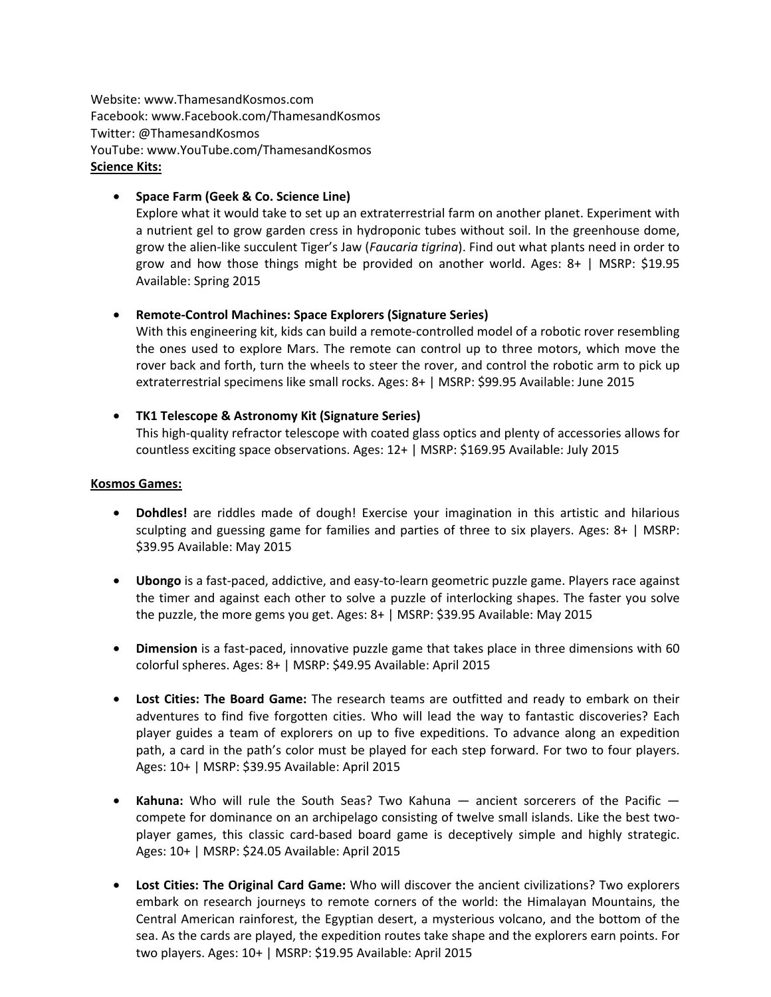Website: www.ThamesandKosmos.com Facebook: www.Facebook.com/ThamesandKosmos Twitter: @ThamesandKosmos YouTube: www.YouTube.com/ThamesandKosmos **Science Kits:** 

### • **Space Farm (Geek & Co. Science Line)**

Explore what it would take to set up an extraterrestrial farm on another planet. Experiment with a nutrient gel to grow garden cress in hydroponic tubes without soil. In the greenhouse dome, grow the alien-like succulent Tiger's Jaw (*Faucaria tigrina*). Find out what plants need in order to grow and how those things might be provided on another world. Ages:  $8+$  | MSRP: \$19.95 Available: Spring 2015

#### • **Remote-Control Machines: Space Explorers (Signature Series)**

With this engineering kit, kids can build a remote-controlled model of a robotic rover resembling the ones used to explore Mars. The remote can control up to three motors, which move the rover back and forth, turn the wheels to steer the rover, and control the robotic arm to pick up extraterrestrial specimens like small rocks. Ages: 8+ | MSRP: \$99.95 Available: June 2015

• **TK1 Telescope & Astronomy Kit (Signature Series)** This high-quality refractor telescope with coated glass optics and plenty of accessories allows for countless exciting space observations. Ages: 12+ | MSRP: \$169.95 Available: July 2015

#### **Kosmos Games:**

- **Dohdles!** are riddles made of dough! Exercise your imagination in this artistic and hilarious sculpting and guessing game for families and parties of three to six players. Ages:  $8+$  | MSRP: \$39.95 Available: May 2015
- **Ubongo** is a fast-paced, addictive, and easy-to-learn geometric puzzle game. Players race against the timer and against each other to solve a puzzle of interlocking shapes. The faster you solve the puzzle, the more gems you get. Ages:  $8+$  | MSRP: \$39.95 Available: May 2015
- Dimension is a fast-paced, innovative puzzle game that takes place in three dimensions with 60 colorful spheres. Ages: 8+ | MSRP: \$49.95 Available: April 2015
- Lost Cities: The Board Game: The research teams are outfitted and ready to embark on their adventures to find five forgotten cities. Who will lead the way to fantastic discoveries? Each player guides a team of explorers on up to five expeditions. To advance along an expedition path, a card in the path's color must be played for each step forward. For two to four players. Ages: 10+ | MSRP: \$39.95 Available: April 2015
- Kahuna: Who will rule the South Seas? Two Kahuna ancient sorcerers of the Pacific compete for dominance on an archipelago consisting of twelve small islands. Like the best twoplayer games, this classic card-based board game is deceptively simple and highly strategic. Ages: 10+ | MSRP: \$24.05 Available: April 2015
- Lost Cities: The Original Card Game: Who will discover the ancient civilizations? Two explorers embark on research journeys to remote corners of the world: the Himalayan Mountains, the Central American rainforest, the Egyptian desert, a mysterious volcano, and the bottom of the sea. As the cards are played, the expedition routes take shape and the explorers earn points. For two players. Ages:  $10+$  | MSRP: \$19.95 Available: April 2015